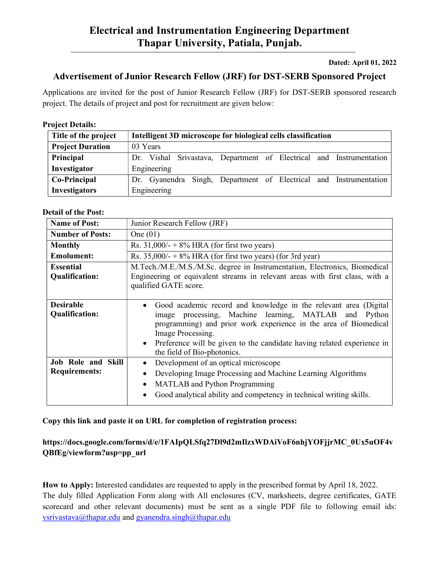#### Dated: April 01, 2022

# Advertisement of Junior Research Fellow (JRF) for DST-SERB Sponsored Project

Applications are invited for the post of Junior Research Fellow (JRF) for DST-SERB sponsored research project. The details of project and post for recruitment are given below:

### Project Details:

| Title of the project    | Intelligent 3D microscope for biological cells classification       |
|-------------------------|---------------------------------------------------------------------|
| <b>Project Duration</b> | 03 Years                                                            |
| Principal               | Dr. Vishal Srivastava, Department of Electrical and Instrumentation |
| Investigator            | Engineering                                                         |
| Co-Principal            | Dr. Gyanendra Singh, Department of Electrical and Instrumentation   |
| <b>Investigators</b>    | Engineering                                                         |

#### Detail of the Post:

| <b>Name of Post:</b>                       | Junior Research Fellow (JRF)                                                                                                                                                                                                                                                                                                  |
|--------------------------------------------|-------------------------------------------------------------------------------------------------------------------------------------------------------------------------------------------------------------------------------------------------------------------------------------------------------------------------------|
| <b>Number of Posts:</b>                    | One $(01)$                                                                                                                                                                                                                                                                                                                    |
| <b>Monthly</b>                             | Rs. $31,000/ - +8\%$ HRA (for first two years)                                                                                                                                                                                                                                                                                |
| <b>Emolument:</b>                          | Rs. $35,000/ - +8\%$ HRA (for first two years) (for 3rd year)                                                                                                                                                                                                                                                                 |
| <b>Essential</b>                           | M.Tech./M.E./M.S./M.Sc. degree in Instrumentation, Electronics, Biomedical                                                                                                                                                                                                                                                    |
| Qualification:                             | Engineering or equivalent streams in relevant areas with first class, with a<br>qualified GATE score.                                                                                                                                                                                                                         |
| <b>Desirable</b><br><b>Qualification:</b>  | Good academic record and knowledge in the relevant area (Digital<br>image processing, Machine learning, MATLAB and Python<br>programming) and prior work experience in the area of Biomedical<br>Image Processing.<br>• Preference will be given to the candidate having related experience in<br>the field of Bio-photonics. |
| Job Role and Skill<br><b>Requirements:</b> | Development of an optical microscope<br>$\bullet$<br>Developing Image Processing and Machine Learning Algorithms<br>$\bullet$<br><b>MATLAB</b> and Python Programming<br>$\bullet$<br>Good analytical ability and competency in technical writing skills.                                                                     |

Copy this link and paste it on URL for completion of registration process:

## https://docs.google.com/forms/d/e/1FAIpQLSfq27Dl9d2mIlzxWDAiVoF6nhjYOFjjrMC\_0Ux5uOF4v QBfEg/viewform?usp=pp\_url

How to Apply: Interested candidates are requested to apply in the prescribed format by April 18, 2022. The duly filled Application Form along with All enclosures (CV, marksheets, degree certificates, GATE scorecard and other relevant documents) must be sent as a single PDF file to following email ids: vsrivastava@thapar.edu and gyanendra.singh@thapar.edu